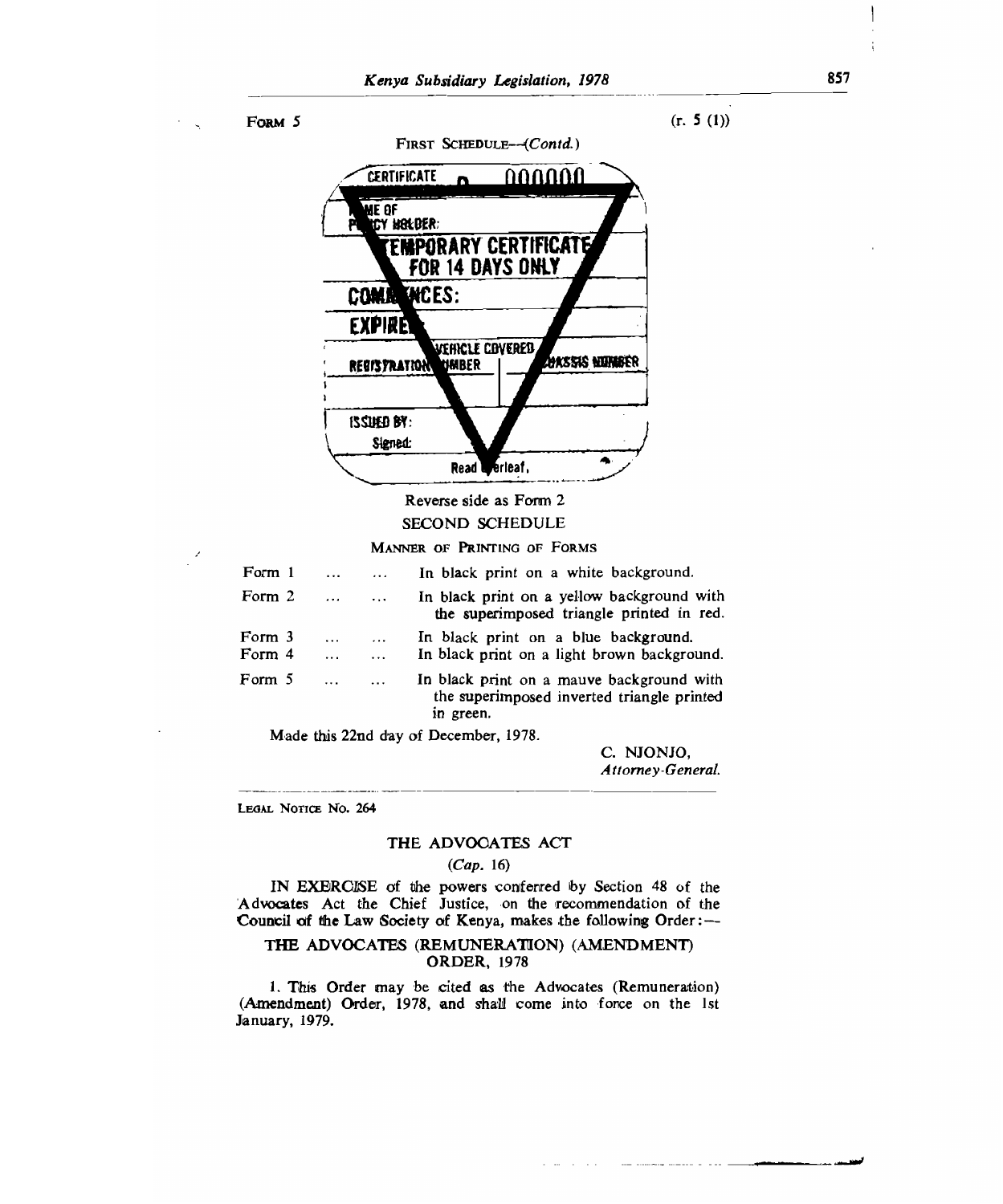

# Reverse side as Form 2 SECOND SCHEDULE

#### MANNER OF PRINTING OF FORMS

| Form 1           | $\cdots$      |                      | In black print on a white background.                                                                |
|------------------|---------------|----------------------|------------------------------------------------------------------------------------------------------|
| Form 2           | $\cdots$      | $\ddotsc$            | In black print on a yellow background with<br>the superimposed triangle printed in red.              |
| Form 3<br>Form 4 | $\cdots$<br>. | $\cdots$<br>$\cdots$ | In black print on a blue background.<br>In black print on a light brown background.                  |
| Form 5           | $\cdots$      | $\cdots$             | In black print on a mauve background with<br>the superimposed inverted triangle printed<br>in green. |

Made this 22nd day of December, 1978.

C. NJONJO, *Attorney-General.* 

LEGAL NOTICE No. 264

### THE ADVOCATES ACT

#### *(Cap.* 16)

IN EXERCISE of the powers conferred Iby Section **48** of the Advocates Act the Chief Justice, on the recommendation of the **Council of the Law** Society of Kenya, makes the following Order:—

## THE ADVOCATES (REMUNERATION) (AMENDMENT) ORDER, 1978

1. This Order may be cited as the Advocates (Remuneration) (Amendment) Order, 1978, and shall come into force on the 1st January, 1979.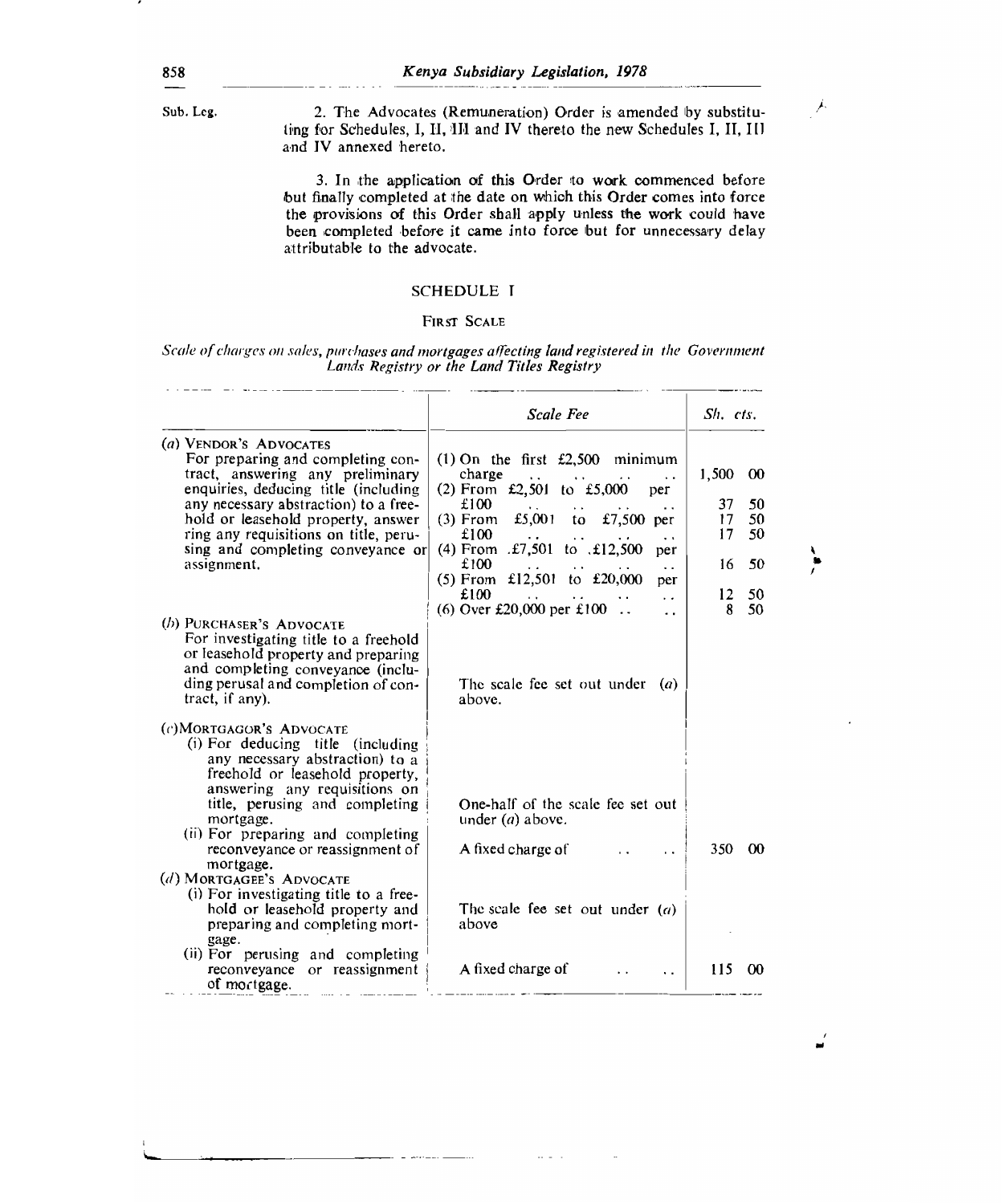Sub. Leg. 2. The Advocates (Remuneration) Order is amended by substituting for Schedules, I, II, 1II and IV thereto the new Schedules I, II, Ill and IV annexed hereto.

Ĵ.

ì

3. In the application of this Order to work commenced before but finally completed at the date on which this Order comes into force the provisions of this Order shall apply unless the work could have been completed before it came into force but for unnecessary delay attributable to the advocate.

## SCHEDULE I

#### FIRST SCALE

#### Scale of charges on sales, purchases and mortgages affecting land registered in the Government Lands Registry or the Land Titles Registry

|                                                                                                                                                                                                                                                                                                                                                                                                                 | <b>Scale Fee</b>                                                                                                                                                                                                                                                                                         | $Sh$ , $cts$ ,                                                               |
|-----------------------------------------------------------------------------------------------------------------------------------------------------------------------------------------------------------------------------------------------------------------------------------------------------------------------------------------------------------------------------------------------------------------|----------------------------------------------------------------------------------------------------------------------------------------------------------------------------------------------------------------------------------------------------------------------------------------------------------|------------------------------------------------------------------------------|
| (a) VENDOR'S ADVOCATES<br>For preparing and completing con-<br>tract, answering any preliminary<br>enquiries, deducing title (including<br>any necessary abstraction) to a free-<br>hold or leasehold property, answer<br>ring any requisitions on title, peru-<br>sing and completing conveyance or<br>assignment.                                                                                             | $(1)$ On the first £2,500 minimum<br>charge<br>. .<br>(2) From £2,501 to £5,000<br>per<br>£100<br>. .<br>(3) From £5,001 to £7,500 per<br>£100<br>$\ddot{\phantom{0}}$<br>(4) From .£7,501 to .£12,500<br>per<br>£100<br>$\cdot$ .<br>(5) From £12,501 to £20,000<br>per<br>£100<br>$\ddot{\phantom{0}}$ | 1,500<br>00<br>37<br>50<br>50<br>17<br>17<br>50<br>50<br>16<br>$12 \,$<br>50 |
| (b) PURCHASER'S ADVOCATE<br>For investigating title to a freehold<br>or leasehold property and preparing<br>and completing conveyance (inclu-<br>ding perusal and completion of con-<br>tract, if any).                                                                                                                                                                                                         | (6) Over £20,000 per £100<br>$\ddotsc$<br>The scale fee set out under<br>(a)<br>above.                                                                                                                                                                                                                   | 8<br>50                                                                      |
| (c)MORTGAGOR'S ADVOCATE<br>(i) For deducing title (including<br>any necessary abstraction) to a<br>freehold or leasehold property,<br>answering any requisitions on<br>title, perusing and completing<br>mortgage.<br>(ii) For preparing and completing<br>reconveyance or reassignment of<br>mortgage.<br>(d) MORTGAGEE'S ADVOCATE<br>(i) For investigating title to a free-<br>hold or leasehold property and | One-half of the scale fee set out<br>under $(a)$ above.<br>A fixed charge of<br>The scale fee set out under $(a)$                                                                                                                                                                                        | 350<br>$\infty$                                                              |
| preparing and completing mort-<br>gage.<br>(ii) For perusing and completing<br>reconveyance or reassignment<br>of mortgage.                                                                                                                                                                                                                                                                                     | above<br>A fixed charge of<br>. .                                                                                                                                                                                                                                                                        | 115<br>œ                                                                     |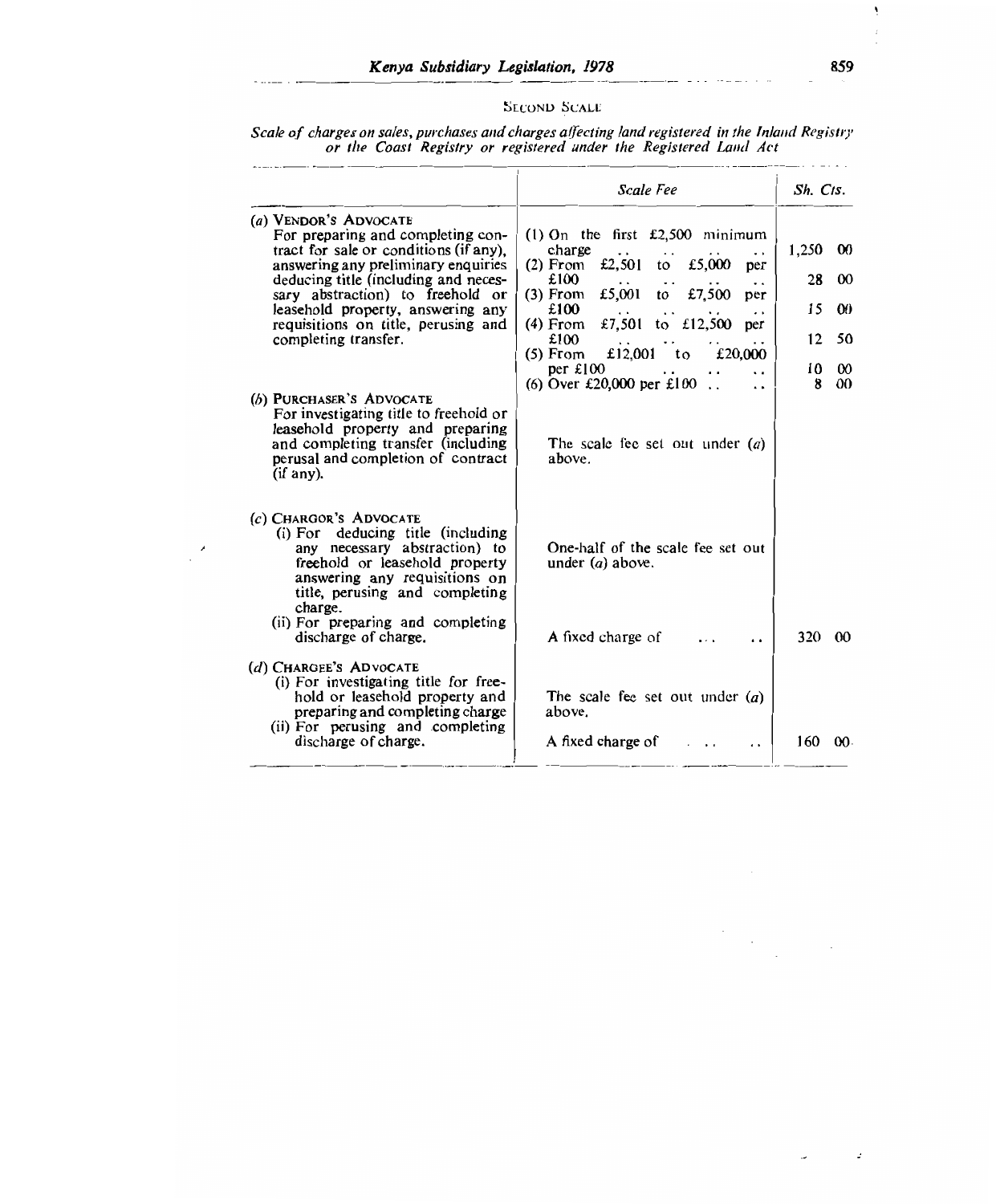# SECOND SCALE

|                                                                                                                                                                                                                                                                                                                             | or the Coast Registry or registered under the Registered Land Act                                                                                                                                                                                                                                             |                                                                                                         |
|-----------------------------------------------------------------------------------------------------------------------------------------------------------------------------------------------------------------------------------------------------------------------------------------------------------------------------|---------------------------------------------------------------------------------------------------------------------------------------------------------------------------------------------------------------------------------------------------------------------------------------------------------------|---------------------------------------------------------------------------------------------------------|
|                                                                                                                                                                                                                                                                                                                             | Scale Fee                                                                                                                                                                                                                                                                                                     | Sh. Cts.                                                                                                |
| (a) VENDOR'S ADVOCATE<br>For preparing and completing con-<br>tract for sale or conditions (if any),<br>answering any preliminary enquiries<br>deducing title (including and neces-<br>sary abstraction) to freehold or<br>leasehold property, answering any<br>requisitions on title, perusing and<br>completing transfer. | $(1)$ On the first £2,500 minimum<br>charge<br>£5,000<br>£2,501<br>$(2)$ From<br>to<br>рег<br>£100<br>to £7,500<br>£5,001<br>(3) From<br>per<br>£100<br>£7,501 to £12,500<br>(4) From<br>per<br>£100<br>£12,001 to<br>£20,000<br>(5) From<br>per $£100$<br>(6) Over £20,000 per £100.<br>$\ddot{\phantom{1}}$ | 1,250<br>$\infty$<br>28<br>$\infty$<br>15<br>$\boldsymbol{00}$<br>12<br>50<br>10<br>$\infty$<br>00<br>8 |
| (b) PURCHASER'S ADVOCATE<br>For investigating title to freehold or<br>leasehold property and preparing<br>and completing transfer (including<br>perusal and completion of contract<br>(i <sup>f</sup> any).                                                                                                                 | The scale fee set out under $(a)$<br>above.                                                                                                                                                                                                                                                                   |                                                                                                         |
| $(c)$ CHARGOR'S ADVOCATE<br>(i) For deducing title (including<br>any necessary abstraction) to<br>freehold or leasehold property<br>answering any requisitions on<br>title, perusing and completing<br>charge.<br>(ii) For preparing and completing                                                                         | One-half of the scale fee set out<br>under $(a)$ above.                                                                                                                                                                                                                                                       |                                                                                                         |
| discharge of charge.<br>(d) CHARGEE'S ADVOCATE<br>(i) For investigating title for free-<br>hold or leasehold property and<br>preparing and completing charge<br>(ii) For perusing and completing                                                                                                                            | <b>A</b> fixed charge of<br>$\ddot{\phantom{0}}$<br>The scale fee set out under $(a)$<br>above.                                                                                                                                                                                                               | 320 00                                                                                                  |
| discharge of charge.                                                                                                                                                                                                                                                                                                        | A fixed charge of                                                                                                                                                                                                                                                                                             | 160<br>00 <sup>1</sup>                                                                                  |

×

Scale of charges on sales, purchases and charges affecting land registered in the Inland Registry or the Coast Registry or registered under the Registered Land Act

 $\frac{1}{2} \frac{1}{\sqrt{2}} \frac{1}{\sqrt{2}}$ 

 $\bar{z}$ 

 $\omega$ 

 $\ddot{\phantom{a}}$ 

Ă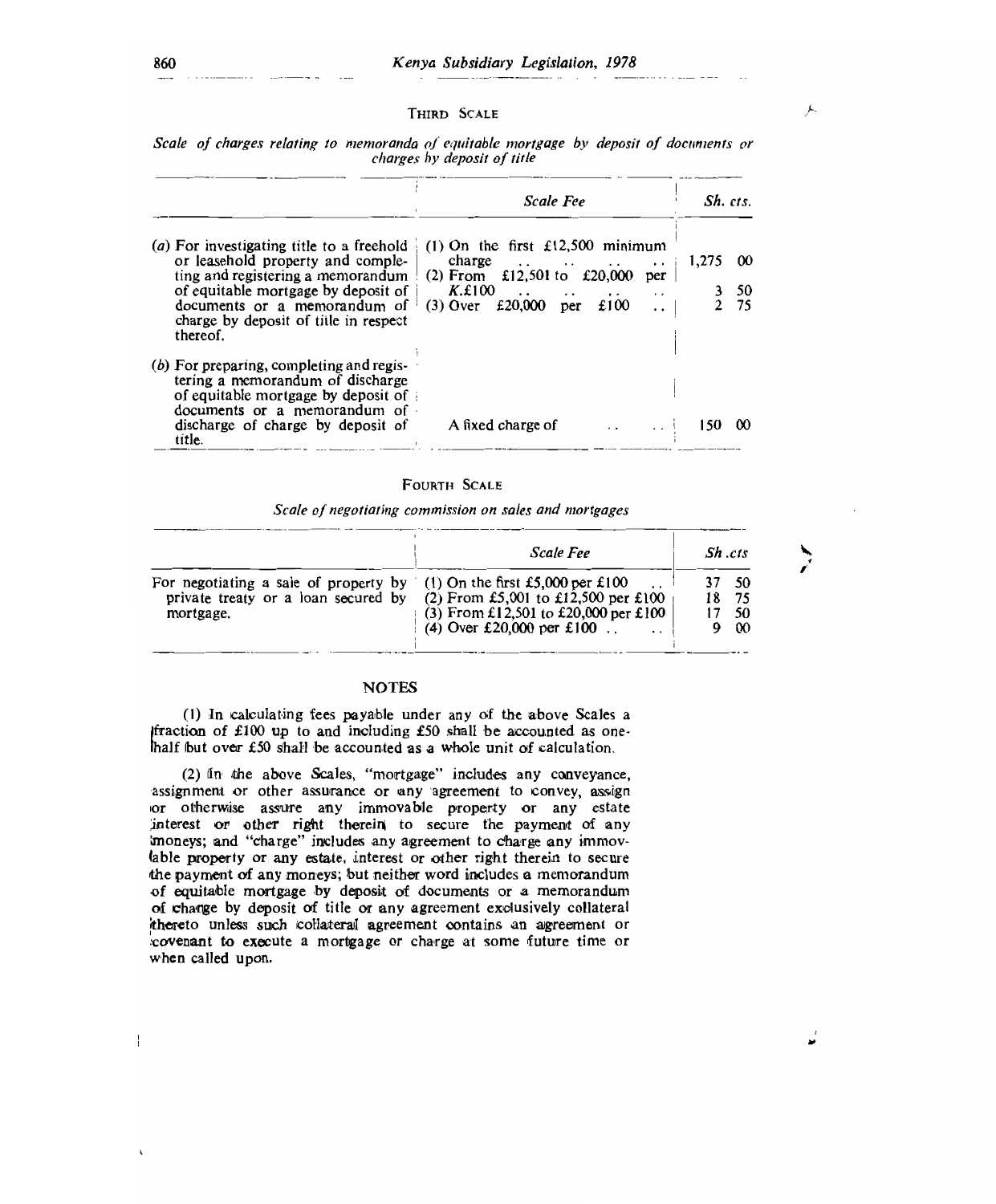#### THIRD SCALE

|  |  |  | Scale of charges relating to memoranda of equitable mortgage by deposit of documents or |  |  |
|--|--|--|-----------------------------------------------------------------------------------------|--|--|
|  |  |  | charges by deposit of title                                                             |  |  |

|                                                                                                                                                                                                                                                 | <b>Scale Fee</b>                                                                                                                                                                                                                                                              | Sh. cts. |                   |
|-------------------------------------------------------------------------------------------------------------------------------------------------------------------------------------------------------------------------------------------------|-------------------------------------------------------------------------------------------------------------------------------------------------------------------------------------------------------------------------------------------------------------------------------|----------|-------------------|
| (a) For investigating title to a freehold<br>or leasehold property and comple-<br>ting and registering a memorandum<br>of equitable mortgage by deposit of<br>documents or a memorandum of<br>charge by deposit of title in respect<br>thereof. | (1) On the first $£12,500$ minimum<br>charge $\ldots$ $\ldots$ $\ldots$<br>$\cdot$ $\cdot$<br>(2) From £12,501 to £20,000<br>per<br>K.E100<br>$\cdot$ $\cdot$<br>$\ddot{\phantom{a}}$<br>$\cdot$ .<br>$\cdots$<br>£100<br>$£20,000$ per<br>$(3)$ Over<br>$\ddot{\phantom{0}}$ | 1,275    | -00<br>- 50<br>75 |
| $(b)$ For preparing, completing and regis-<br>tering a memorandum of discharge<br>of equitable mortgage by deposit of<br>documents or a memorandum of<br>discharge of charge by deposit of<br>title.                                            | A fixed charge of                                                                                                                                                                                                                                                             | 150.     | $\infty$          |

#### FOURTH SCALE

Scale of negotiating commission on sales and mortgages

|                                                                                                                            | Scale Fee                                                                                                 | Sh.cts |                            |
|----------------------------------------------------------------------------------------------------------------------------|-----------------------------------------------------------------------------------------------------------|--------|----------------------------|
| For negotiating a sale of property by (1) On the first £5,000 per £100<br>private treaty or a loan secured by<br>mortgage. | (2) From £5,001 to £12,500 per £100<br>(3) From £12,501 to £20,000 per £100<br>(4) Over £20,000 per £100. | 18     | - 50<br>-75<br>-50<br>9 00 |

## **NOTES**

(1) In calculating fees payable under any of the above Scales a  $fraction of £100 up to and including £50 shall be accounted as one$ half but over £50 shall be accounted as a whole unit of calculation.

(2) In the above Scales, "mortgage" includes any conveyance, assignment or other assurance or any agreement to convey, assign or otherwise assure any immovable property or any estate interest or other right therein to secure the payment of any 'moneys; and "charge" includes any agreement to charge any immovlable property or any estate, interest or other right therein to secure the payment of any moneys; but neither word includes *a* memorandum of equitable mortgage by deposit of documents or a memorandum of charge by deposit of title or any agreement exclusively collateral 'thereto unless such collateral agreement contains an agreement or :covenant to execute a mortgage or charge at some future time or when called upon.

 $\mathbb{I}$ 

Æ.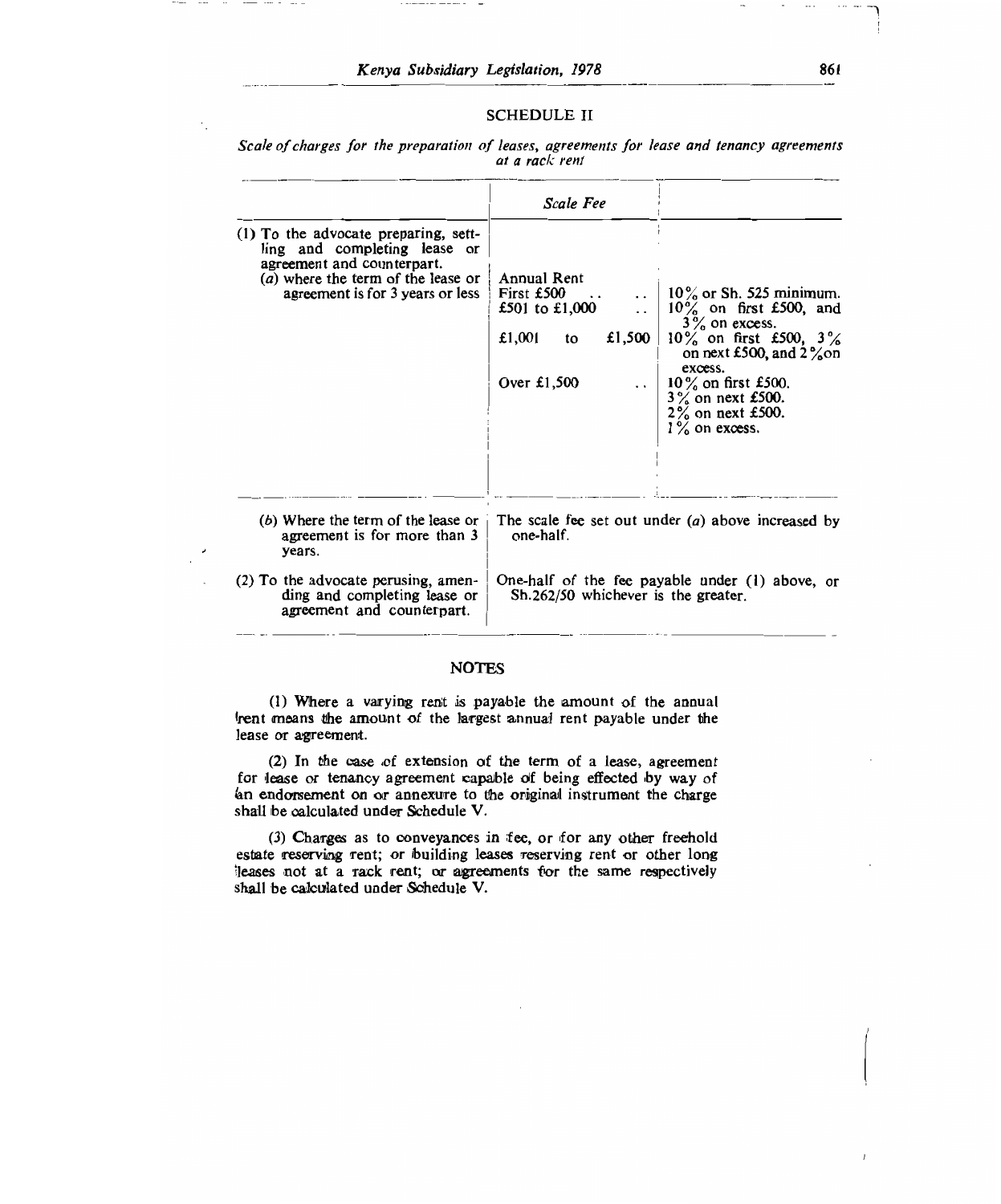### SCHEDULE II

Scale of charges for the preparation of leases, agreements for lease and tenancy agreements at a rack rent

|                                                                                                                                                                              | Scale Fee                                                                                     |                                                                                                                                                                                                                                               |  |  |  |  |
|------------------------------------------------------------------------------------------------------------------------------------------------------------------------------|-----------------------------------------------------------------------------------------------|-----------------------------------------------------------------------------------------------------------------------------------------------------------------------------------------------------------------------------------------------|--|--|--|--|
| (1) To the advocate preparing, sett-<br>ling and completing lease or<br>agreement and counterpart.<br>(a) where the term of the lease or<br>agreement is for 3 years or less | Annual Rent<br>First £500<br>£501 to £1,000<br>£1,500 $\vert$<br>$£1,001$ to<br>Over $£1,500$ | $10\%$ or Sh. 525 minimum.<br>$10\%$ on first £500, and<br>$3\%$ on excess.<br>$10\%$ on first £500, $3\%$<br>on next £500, and $2\%$ on<br>excess.<br>  10% on first £500.<br>$3\%$ on next £500.<br>$2\%$ on next £500.<br>$1\%$ on excess. |  |  |  |  |
| $(b)$ Where the term of the lease or<br>agreement is for more than 3<br>vears.                                                                                               | The scale fee set out under $(a)$ above increased by<br>one-half.                             |                                                                                                                                                                                                                                               |  |  |  |  |
| (2) To the advocate perusing, amen-<br>ding and completing lease or<br>agreement and counterpart.                                                                            | One-half of the fee payable under (1) above, or<br>Sh.262/50 whichever is the greater.        |                                                                                                                                                                                                                                               |  |  |  |  |

### **NOTES**

(1) Where a varying rent is payable the amount of the annual (rent means the amount of the largest annual rent payable under the lease or agreement.

(2) In the case of extension of the term of a lease, agreement for lease or tenancy agreement capable of being effected by way of an endorsement on or annexure to the original instrument the charge shall be calculated under Schedule V.

(3) Charges as to conveyances in fee, or for any other freehold estate reserving rent; or building leases reserving rent or other long 'leases not at a rack rent; or agreements for the same respectively shall be calculated under Schedule V.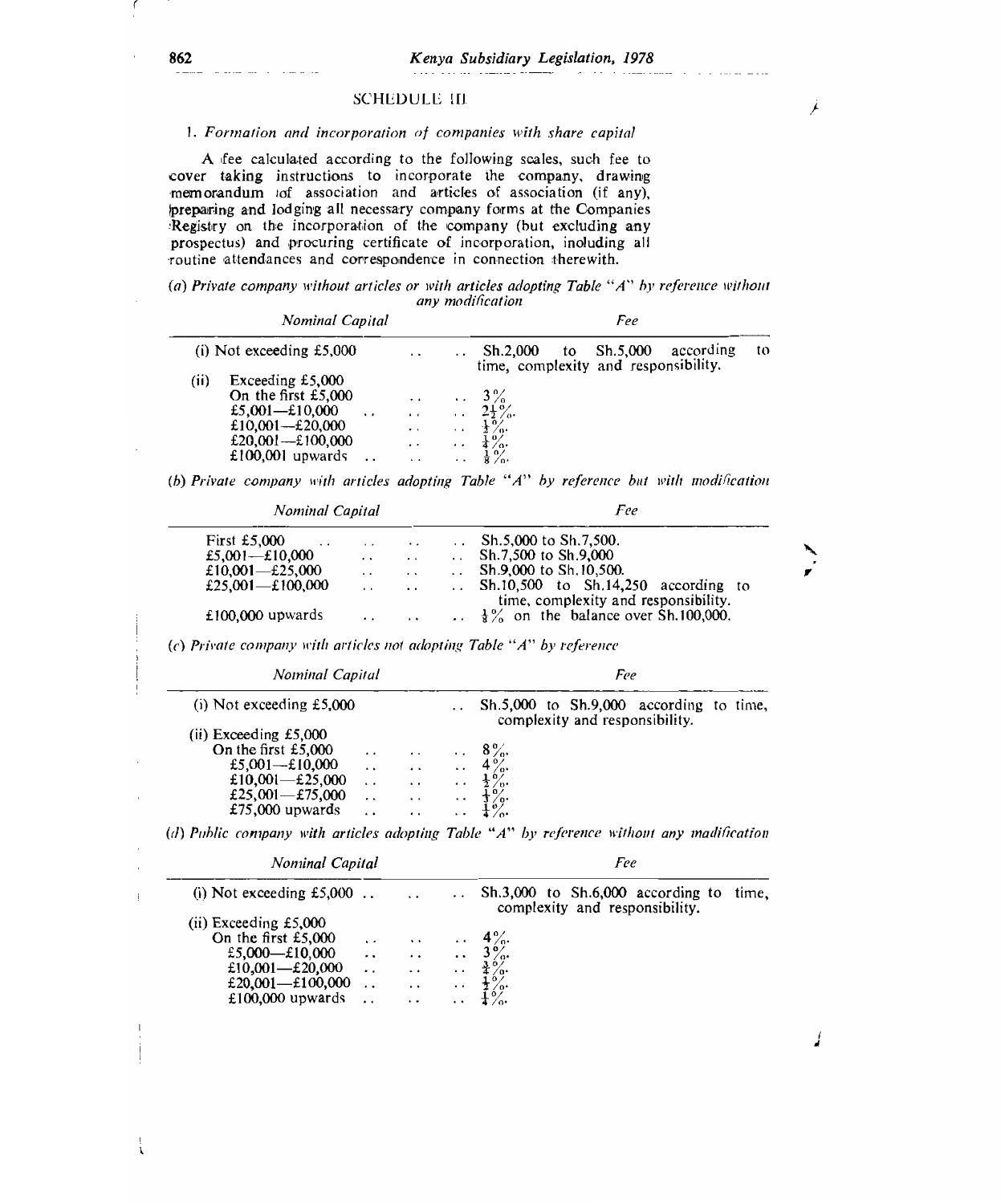j.

J

# SCHEDULE III

#### 1. Formation and incorporation of companies with share capital

A fee calculated according to the following scales, such fee to cover taking instructions to incorporate the company, drawing memorandum of association and articles of association (if any), preparing and lodging all necessary company forms at the Companies Registry on the incorporation of the company (but excluding any prospectus) and procuring certificate of incorporation, including all routine attendances and correspondence in connection therewith.

|  |  | (a) Private company without articles or with articles adopting Table "A" by reference without |                  |  |  |  |
|--|--|-----------------------------------------------------------------------------------------------|------------------|--|--|--|
|  |  |                                                                                               | any modification |  |  |  |

| Nominal Capital                                                                                                                      |                                                                                                  |                                                      | Fee                                                                             |    |  |  |  |
|--------------------------------------------------------------------------------------------------------------------------------------|--------------------------------------------------------------------------------------------------|------------------------------------------------------|---------------------------------------------------------------------------------|----|--|--|--|
| (i) Not exceeding $£5,000$                                                                                                           | $\cdot$ $\cdot$                                                                                  |                                                      | Sh.5,000<br>according<br>Sh.2.000<br>to<br>time, complexity and responsibility. | to |  |  |  |
| (i)<br>Exceeding $£5,000$<br>On the first $£5,000$<br>£5,001-£10,000<br>£10,001—£20,000<br>£20,001 -- £100,000<br>$£100,001$ upwards | $\cdot$ $\cdot$<br>$\ddot{\phantom{0}}$<br>$\cdot$ $\cdot$<br>$\cdot$ $\cdot$<br>$\cdot$ $\cdot$ | $\ddot{\phantom{a}}$<br>$\cdot$ $\cdot$<br>$\cdot$ . | $\therefore$ 3%<br>$2\frac{1}{2}\%$ .<br>$2/\nu$<br>$\frac{1}{4}$ %.            |    |  |  |  |

(b) Private company with articles adopting Table "A" by reference but with modification

| Nominal Capital                                                       |                      |                      |                      | Fee                                                                                                                                                                                                |
|-----------------------------------------------------------------------|----------------------|----------------------|----------------------|----------------------------------------------------------------------------------------------------------------------------------------------------------------------------------------------------|
| First £5,000<br>$\ddot{\phantom{0}}$                                  | . .                  | . .                  | . .                  | Sh.5,000 to Sh.7,500.                                                                                                                                                                              |
| £5,001—£10,000                                                        | $\cdot$              |                      | $\ddot{\phantom{0}}$ | Sh.7,500 to Sh.9,000                                                                                                                                                                               |
| £10,001 $-$ £25,000                                                   |                      | . .                  | $\ddot{\phantom{0}}$ | Sh.9,000 to Sh.10,500.                                                                                                                                                                             |
| £25,001 - £100,000                                                    | . .                  | . .                  |                      | Sh.10,500 to Sh.14,250 according to                                                                                                                                                                |
|                                                                       |                      |                      |                      | time, complexity and responsibility.                                                                                                                                                               |
| £100,000 upwards                                                      | . .                  |                      |                      | $\frac{1}{8}$ % on the balance over Sh.100,000.                                                                                                                                                    |
| (c) Private company with articles not adopting Table "A" by reference |                      |                      |                      |                                                                                                                                                                                                    |
| Nominal Capital                                                       |                      |                      |                      | Fee                                                                                                                                                                                                |
| (i) Not exceeding $£5,000$                                            |                      |                      | $\cdot$ $\cdot$      | $Sh.5,000$ to $Sh.9,000$ according to time,<br>complexity and responsibility.                                                                                                                      |
| (ii) Exceeding $£5,000$                                               |                      |                      |                      |                                                                                                                                                                                                    |
| On the first $£5,000$                                                 | . .                  | $\ddot{\phantom{0}}$ | $\ddot{\phantom{0}}$ | $8\%$                                                                                                                                                                                              |
| £5,001- $\pm$ 10,000                                                  | $\ddot{\phantom{a}}$ | $\cdot$              | $\ddot{\phantom{0}}$ | $4\frac{6}{6}$                                                                                                                                                                                     |
| £10,001 $-$ £25,000                                                   | $\ddot{\phantom{0}}$ | $\ddot{\phantom{0}}$ | . .                  | $\frac{1}{2}$ %.                                                                                                                                                                                   |
| £25,001- $\pm$ 75,000                                                 | $\ddot{\phantom{a}}$ | $\ddot{\phantom{0}}$ |                      |                                                                                                                                                                                                    |
|                                                                       |                      |                      |                      |                                                                                                                                                                                                    |
| $£75,000$ upwards                                                     | . .                  |                      |                      |                                                                                                                                                                                                    |
|                                                                       |                      |                      |                      | Ĭ%.                                                                                                                                                                                                |
| Nominal Capital                                                       |                      |                      |                      | Fee                                                                                                                                                                                                |
| (i) Not exceeding $£5,000$ .                                          |                      | $\ddot{\phantom{0}}$ |                      | complexity and responsibility.                                                                                                                                                                     |
| $(ii)$ Exceeding £5,000                                               |                      |                      |                      |                                                                                                                                                                                                    |
|                                                                       |                      | $\ddot{\phantom{0}}$ |                      |                                                                                                                                                                                                    |
| On the first £5,000                                                   | $\ddot{\phantom{0}}$ |                      |                      | $4\%$                                                                                                                                                                                              |
| £5,000-£10,000                                                        | . .                  |                      | $\ddot{\phantom{0}}$ |                                                                                                                                                                                                    |
| £10,001-£20,000                                                       | $\ddot{\phantom{0}}$ | $\ddot{\phantom{0}}$ | $\ddot{\phantom{0}}$ |                                                                                                                                                                                                    |
| £20,001-£100,000                                                      | . .                  | $\ddot{\phantom{1}}$ |                      | (d) Public company with articles adopting Table " $A$ " by reference without any madification<br>$Sh.3,000$ to $Sh.6,000$ according to time,<br>$3\frac{6}{4}$<br>$4\frac{6}{4}$<br>$4\frac{6}{4}$ |
| £100,000 upwards                                                      | $\ddot{\phantom{0}}$ | . .                  |                      | $\tilde{A}_{\alpha}^{\delta}$                                                                                                                                                                      |
|                                                                       |                      |                      |                      |                                                                                                                                                                                                    |
|                                                                       |                      |                      |                      |                                                                                                                                                                                                    |

i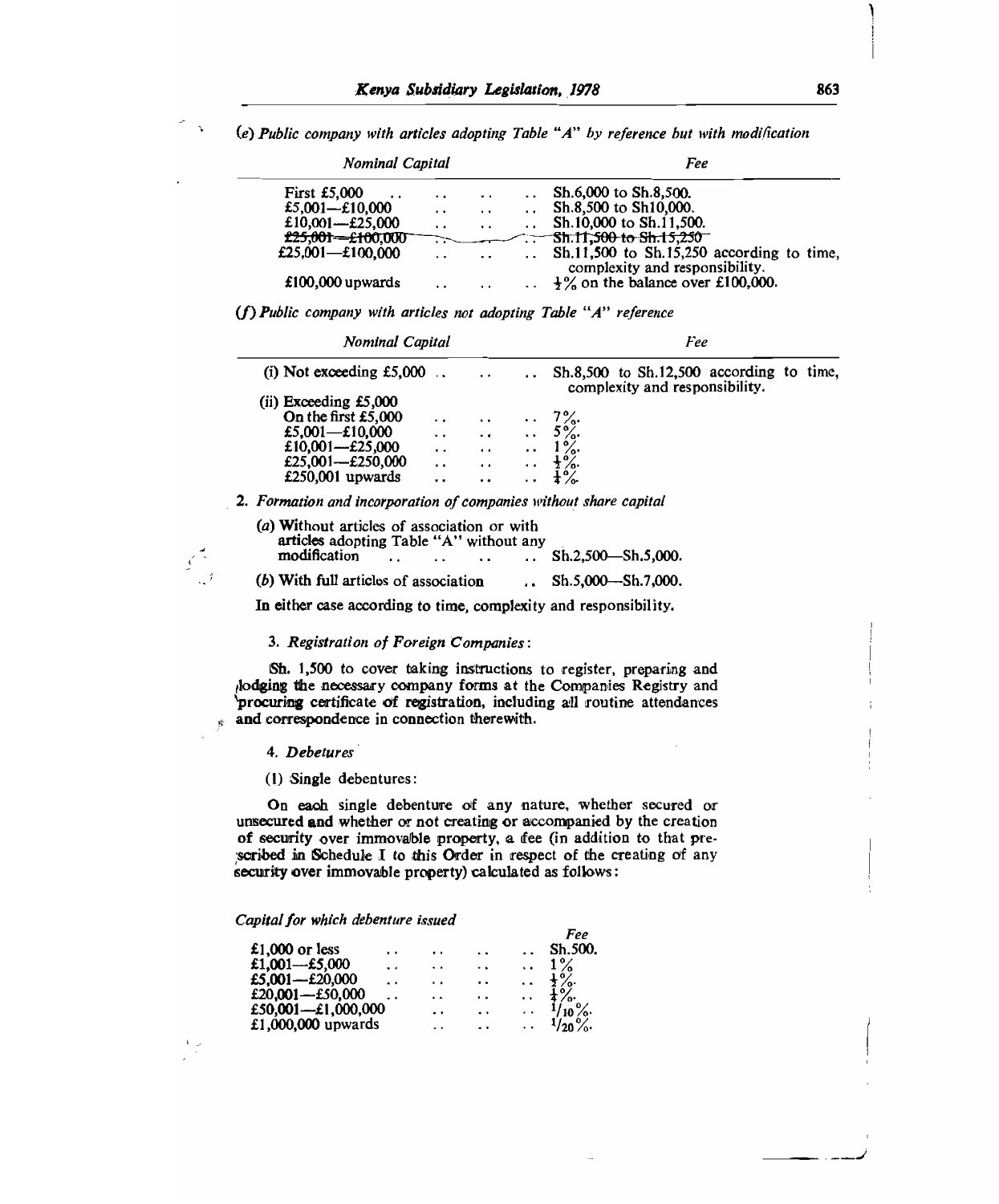*(e) Public company with articles adopting Table "A" by reference but with modification* 

| Nominal Capital              |                      |                      | Fee                                                                             |
|------------------------------|----------------------|----------------------|---------------------------------------------------------------------------------|
| <b>First £5,000</b>          | $\ddot{\phantom{0}}$ | $\cdot$ .            | Sh.6,000 to Sh.8,500.                                                           |
| £5,001-£10,000               | $\cdot$ .            | $\ddot{\phantom{0}}$ | Sh.8,500 to Sh10,000.                                                           |
| £10,001-£25,000              | $\cdot$ .            | $\cdot$ .            | Sh.10,000 to Sh.11,500.                                                         |
| <del>£25,001—£10</del> 0,000 |                      |                      | * <del>* * * \$h.11,500 to \$h.15,250 *</del>                                   |
| £25,001 $-$ £100,000         | $\ddot{\phantom{0}}$ |                      | $Sh.11,500$ to $Sh.15,250$ according to time,                                   |
| £100,000 upwards             | $\cdot$ .            | $\cdot$ .            | complexity and responsibility.<br>$\therefore$ +% on the balance over £100,000. |

*(f)Public company with articles not adopting Table "A" reference* 

| <b>Nominal Capital</b>                                            |                      |                      |                      | Fee                                                                            |  |  |  |  |  |
|-------------------------------------------------------------------|----------------------|----------------------|----------------------|--------------------------------------------------------------------------------|--|--|--|--|--|
| (i) Not exceeding $£5,000$ .                                      |                      | $\cdot$ $\cdot$      |                      | $Sh.8,500$ to $Sh.12,500$ according to time.<br>complexity and responsibility. |  |  |  |  |  |
| (ii) Exceeding $£5,000$                                           |                      |                      |                      |                                                                                |  |  |  |  |  |
| On the first £5,000                                               | $\cdot$ .            | $\cdot$ .            |                      | $\therefore$ 7%                                                                |  |  |  |  |  |
| £5,001—£10,000                                                    | $\ddot{\phantom{0}}$ | $\sim$ $\sim$ $\sim$ |                      | $\therefore$ 5%.                                                               |  |  |  |  |  |
| £10,001- $£25,000$                                                | . .                  | $\cdot$ $\cdot$      | $\ddot{\phantom{a}}$ | $1\%$                                                                          |  |  |  |  |  |
| £25,001- $E$ 250,000                                              | . .                  | $\cdot$ .            |                      | $\frac{1}{2}$ %.                                                               |  |  |  |  |  |
| £250,001 upwards                                                  | . .                  | $\ddot{\phantom{0}}$ | $\cdot$ $\cdot$      |                                                                                |  |  |  |  |  |
| 2. Formation and incorporation of companies without share capital |                      |                      |                      |                                                                                |  |  |  |  |  |

| (a) Without articles of association or with<br>articles adopting Table "A" without any |  |  |                               |
|----------------------------------------------------------------------------------------|--|--|-------------------------------|
| modification                                                                           |  |  | $\ldots$ Sh.2.500 - Sh.5.000. |
| (b) With full articles of association                                                  |  |  | $\ldots$ Sh.5,000—Sh.7,000.   |

In either case according to time, complexity and responsibility.

#### *3. Registration of Foreign Companies:*

Sh. 1,500 to cover taking instructions to register, preparing and 'lodging the necessary company forms at the Companies Registry and 'procuring certificate of registration, including all routine attendances and correspondence in connection therewith.

#### *4. Debetures*

 $\vec{r}$ 

(1) Single debentures:

On each single debenture of any nature, whether secured or unsecured **and** whether or not creating or accompanied by the creation of security over immovable property, a fee (in addition to that prescribed in Schedule I to this Order in respect of the creating of any security over immovable property) calculated as follows:

*Capital for which debenture issued* 

|                      |     |                      |                      | Fee              |
|----------------------|-----|----------------------|----------------------|------------------|
| $\ddot{\phantom{1}}$ | . . |                      |                      | Sh.500.          |
| . .                  | . . | $\ddot{\phantom{1}}$ | $\ddot{\phantom{0}}$ | $1\%$            |
| . .                  |     | . .                  |                      | $\frac{1}{2}$ %. |
| . .                  |     | . .                  | . .                  | $\frac{9}{6}$    |
|                      | . . | $\ddot{\phantom{1}}$ |                      | $10\%$           |
|                      | . . | . .                  | $\ddotsc$            | $1/20\%$         |
|                      |     | . .<br>. .           |                      |                  |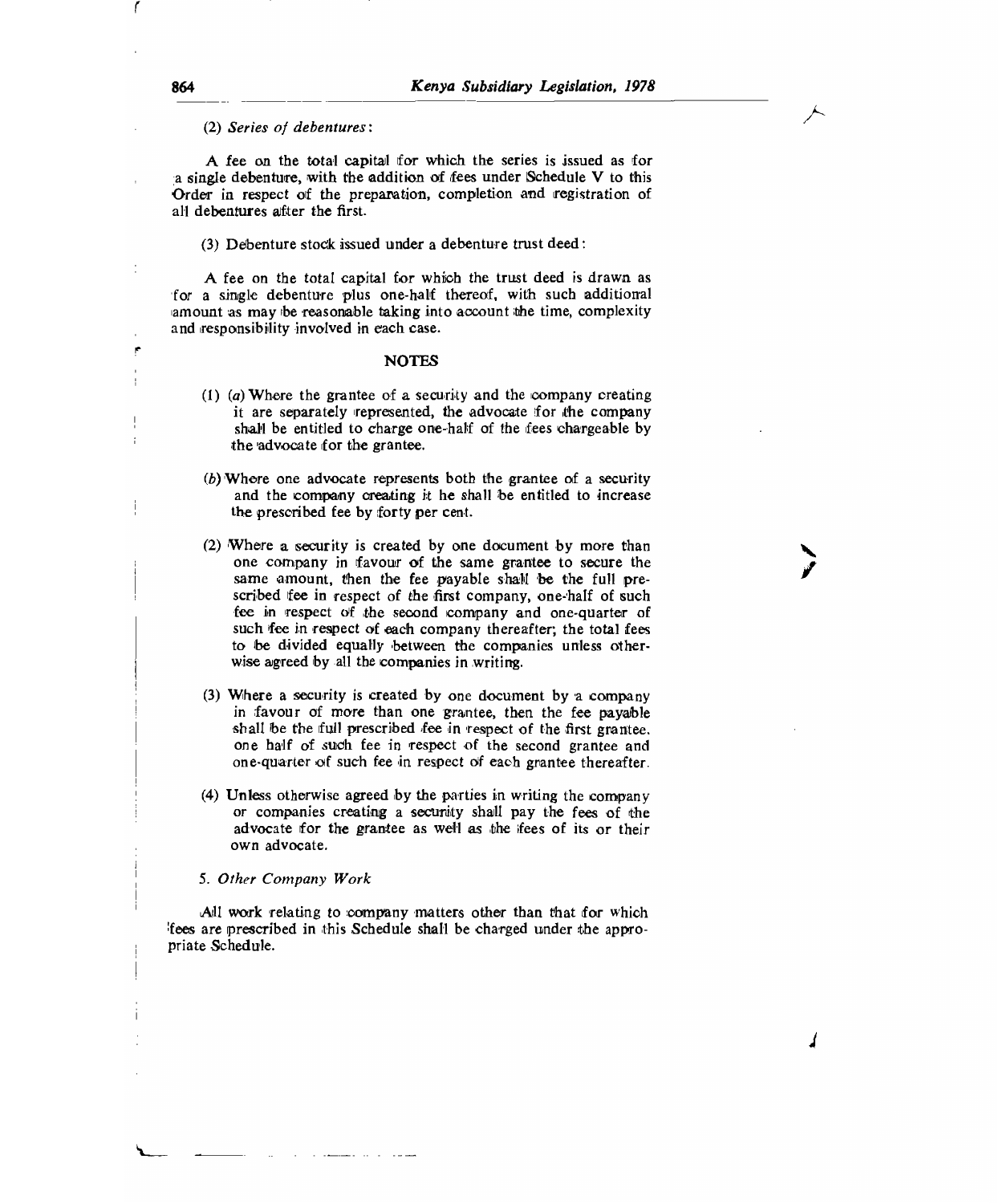(2) *Series of debentures:* 

A fee on the total capital for which the series is issued as for a single debenture, with the addition of fees under Schedule V to this Order in respect of the preparation, completion and registration of all debentures after the first.

(3) Debenture stock issued under a debenture trust deed:

A fee on the total capital for which the trust deed is drawn as for a single debenture plus one-half thereof, with such additional amount as may be reasonable taking into account the time, complexity and responsibility involved in each case.

#### NOTES

- *(I) (a) Where* the grantee of a security and the 'company creating it are separately represented, the advocate for the company shall be entitled to charge one-half of the fees chargeable by the advocate for the grantee.
- $(b)$  Where one advocate represents both the grantee of a security and the company creating it he shall be entitled to increase the prescribed fee by forty per cent.
- (2) Where a security is created *by* one document by more than one company in favour of the same grantee to secure the same amount, then the fee payable shall be the full prescribed fee in respect of the first company, one-half of such fee in respect of the second company and one-quarter of such fee in respect of each company thereafter; the total fees to be divided equally between the companies unless otherwise agreed by all the companies in writing.
- (3) Where a security is created by one document by a company in favour of more than one grantee, then the fee payable shall be the full prescribed fee in respect of the first grantee. one half of such fee in respect of the second grantee and one-quarter of such fee in respect of each grantee thereafter.
- (4) Unless otherwise agreed by the parties in writing the company or companies creating a security shall pay the fees of the advocate for the grantee as well as the fees of its or their own advocate.

#### *5. Other Company Work*

All work relating to company matters other than that for which fees are prescribed in this Schedule shall be charged under the appropriate Schedule.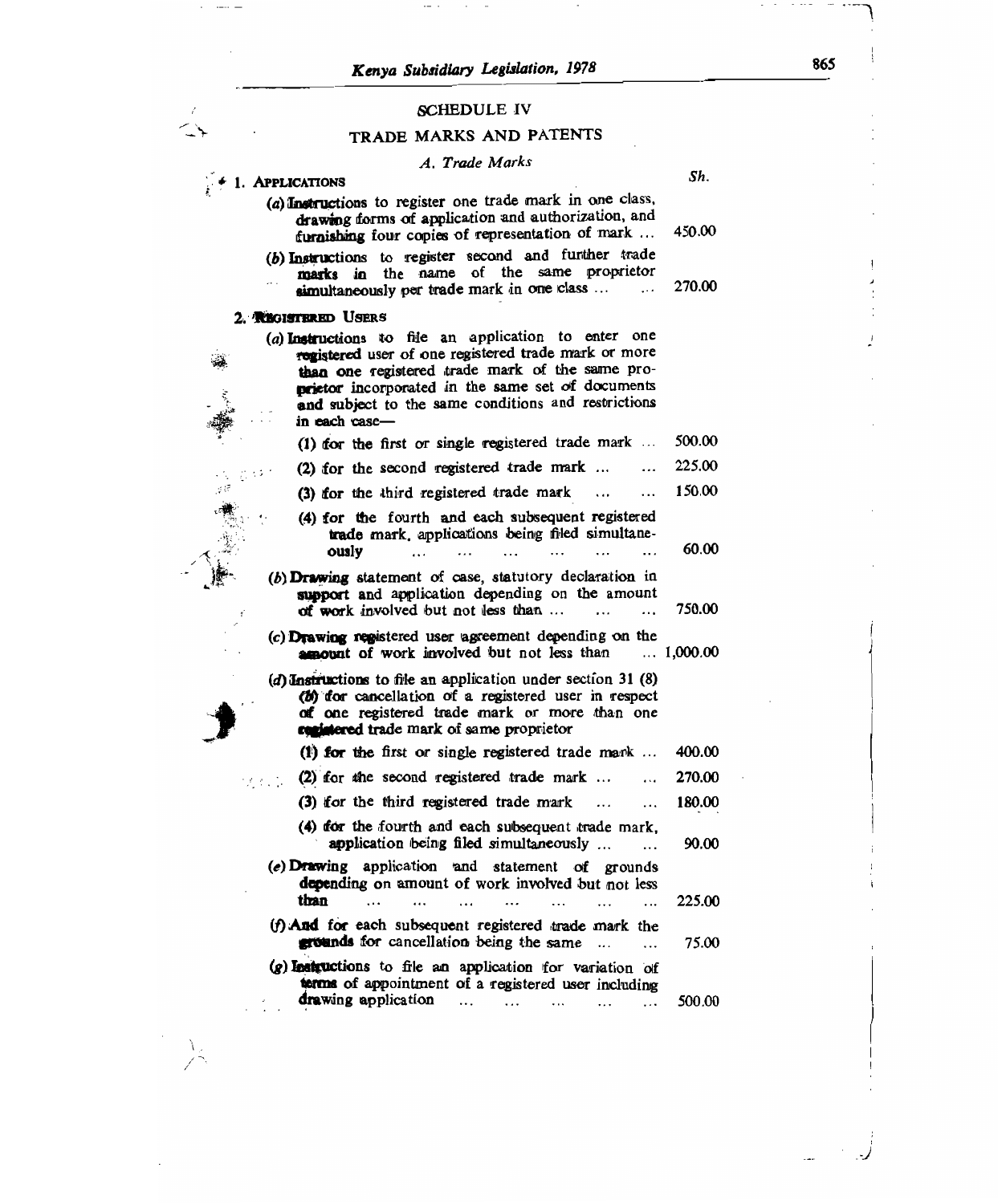$\mathcal{A}=\{A_1,\ldots,A_n\}$  , and

 $\cdot$   $\hspace{0.1cm}$   $\hspace{0.1cm}$   $\hspace{0.1cm}$   $\hspace{0.1cm}$   $\hspace{0.1cm}$   $\hspace{0.1cm}$   $\hspace{0.1cm}$   $\hspace{0.1cm}$   $\hspace{0.1cm}$   $\hspace{0.1cm}$ 

 $\overline{1}$  $\overbrace{\phantom{a}}^{\phantom{a}}$ 

 $\frac{1}{2}$ 

# SCHEDULE **IV**

# **TRADE** MARKS AND PATENTS

# *A. Trade Marks*

|                                                                                                                                                                                                                                                                                              | Sh.              |
|----------------------------------------------------------------------------------------------------------------------------------------------------------------------------------------------------------------------------------------------------------------------------------------------|------------------|
| $\div$ 1. Applications                                                                                                                                                                                                                                                                       |                  |
| (a) Instructions to register one trade mark in one class,<br>drawing forms of application and authorization, and<br>furnishing four copies of representation of mark                                                                                                                         | 450.00           |
| (b) Instructions to register second and further trade<br>marks in the name of the same proprietor<br>simultaneously per trade mark in one class<br>$\cdots$                                                                                                                                  | 270.00           |
| 2. REGISTERED USERS                                                                                                                                                                                                                                                                          |                  |
| (a) Instructions to file an application to enter one<br>registered user of one registered trade mark or more<br>than one registered trade mark of the same pro-<br>prietor incorporated in the same set of documents<br>and subject to the same conditions and restrictions<br>in each case- |                  |
| (1) for the first or single registered trade mark                                                                                                                                                                                                                                            | 500.00           |
| (2) for the second registered trade mark<br>.<br>2,300                                                                                                                                                                                                                                       | 225.00           |
| (3) for the third registered trade mark<br>$\ddotsc$<br>$\ddotsc$                                                                                                                                                                                                                            | 150.00           |
| (4) for the fourth and each subsequent registered<br>trade mark, applications being filed simultane-<br>vislo                                                                                                                                                                                | 60.00            |
| (b) Drawing statement of case, statutory declaration in<br>support and application depending on the amount<br>of work involved but not less than $\dots$                                                                                                                                     | 750.00           |
| (c) Drawing registered user agreement depending on the<br><b>amount</b> of work involved but not less than                                                                                                                                                                                   | $\dots 1,000.00$ |
| (d) Instructions to file an application under section 31 $(8)$<br>(b) for cancellation of a registered user in respect<br>of one registered trade mark or more than one<br>conjutered trade mark of same proprietor                                                                          |                  |
| (1) for the first or single registered trade mark                                                                                                                                                                                                                                            | 400.00           |
| (2) for the second registered trade mark<br>$\cdots$                                                                                                                                                                                                                                         | 270.00           |
| (3) for the third registered trade mark<br>$\ddotsc$<br>$\ddotsc$                                                                                                                                                                                                                            | 180.00           |
| (4) for the fourth and each subsequent trade mark,<br>application being filed simultaneously<br>$\cdots$                                                                                                                                                                                     | 90.00            |
| (e) Drawing application and statement of grounds<br>depending on amount of work involved but not less<br>than<br>$\dddotsc$<br>$\ddotsc$<br>$\ddot{\phantom{a}}$<br>$\ddotsc$<br>$\cdots$                                                                                                    | 225.00           |
| (f) And for each subsequent registered trade mark the<br>grounds for cancellation being the same                                                                                                                                                                                             | 75.00            |
| (g) Instructions to file an application for variation of<br>terms of appointment of a registered user including<br>drawing application<br>$\cdots$<br>$\cdots$<br>.                                                                                                                          | 500.00           |
|                                                                                                                                                                                                                                                                                              |                  |

 $\cdot$ 

 $\cdots$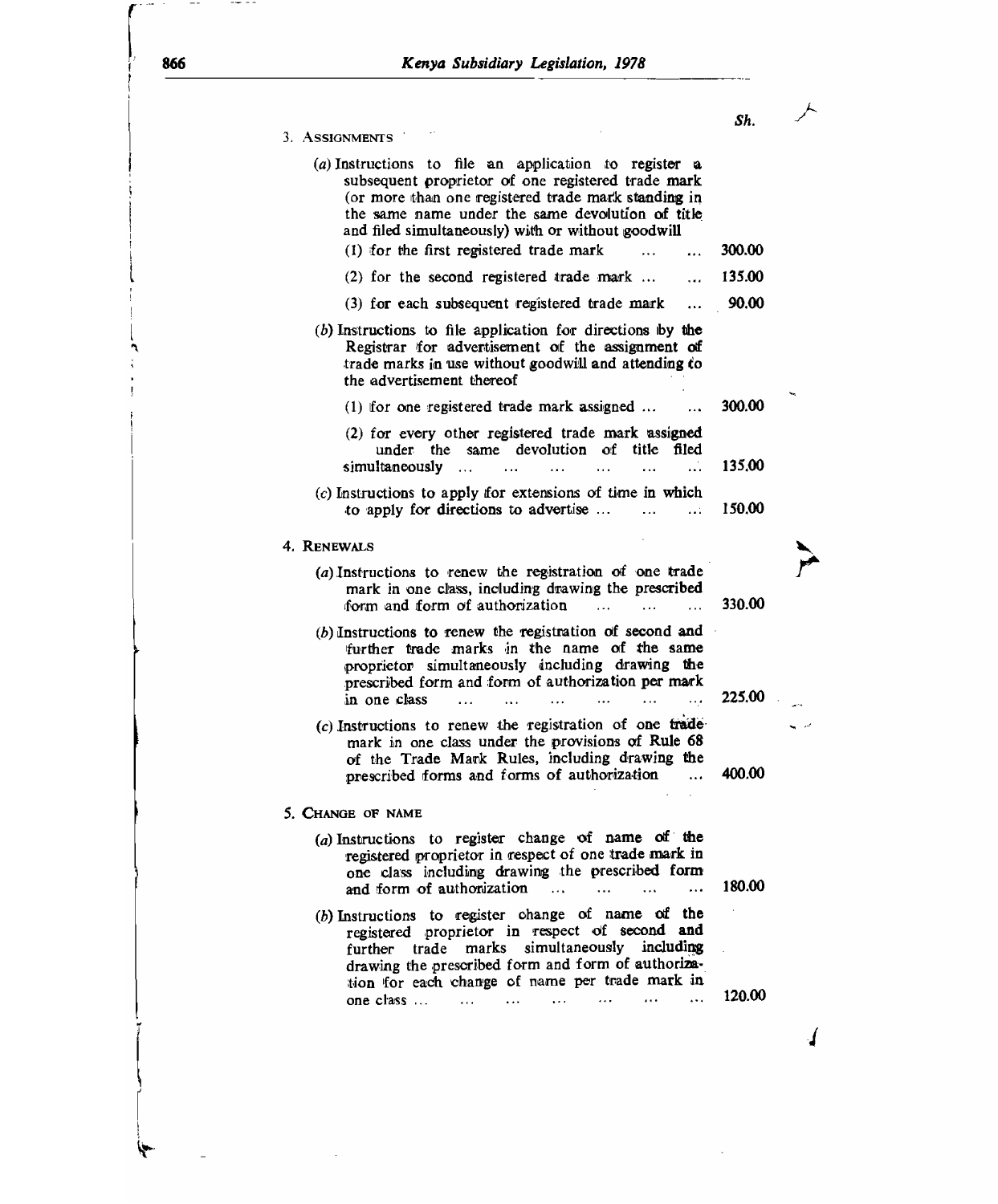*Sh.* 3. ASSIGNMENTS (a) Instructions to file an application to register *a*  subsequent proprietor of one registered trade mark (or more than one registered trade mark standing in the same name under the same devolution of title and filed simultaneously) with or without goodwill (1) for the first registered trade mark  $\ldots$   $\ldots$  300.00 (2) for the second registered trade mark  $\dots$  ... 135.00 (3) for each subsequent registered trade mark ... 90.00 *(b)* Instructions to file application for directions iby *the*  Registrar for advertisement of the assignment of trade marks in use without goodwill and attending to the advertisement thereof (1) for one registered trade mark assigned  $\dots$   $\dots$  300.00 (2) for every other registered trade mark assigned under the same devolution of title filed simultaneously ... ... ... ... ... ... 135.00 *(c)* Instructions to apply for extensions of time in which to apply for directions to advertise ... ... ... 150.00 4. RENEWALS ENEWALS<br>
(a) Instructions to renew the registration of one trade<br>
mark in one class, including drawing the prescribed form and form of authorization ... ... ... 330.00 (b)Instructions to renew the registration of second and further trade marks in the name of the same proprietor simultaneously including drawing the prescribed form and form of authorization per mark in one class ... ... ... ... ... ... 225.00  $(c)$  Instructions to renew the registration of one trademark in one class under the provisions of Rule 68 of the Trade Mark Rules, including drawing the<br>nescribed forms and forms of authorization ... prescribed forms and forms of authorization ... 400.00 5. CHANGE OF NAME (a)Instructions to register change of name of the registered proprietor in respect of one trade mark in one class including drawing the prescribed form<br>and form of authorization ... ... ... ... and form of authorization ... ... ... ... 180.00 (b)Instructions to register change of name of the registered proprietor in respect of second and further trade marks simultaneously including drawing the prescribed form and form of authorization for each change of name per trade mark in one class ... ... ... ... ... ... ... ... 120.00

I.

866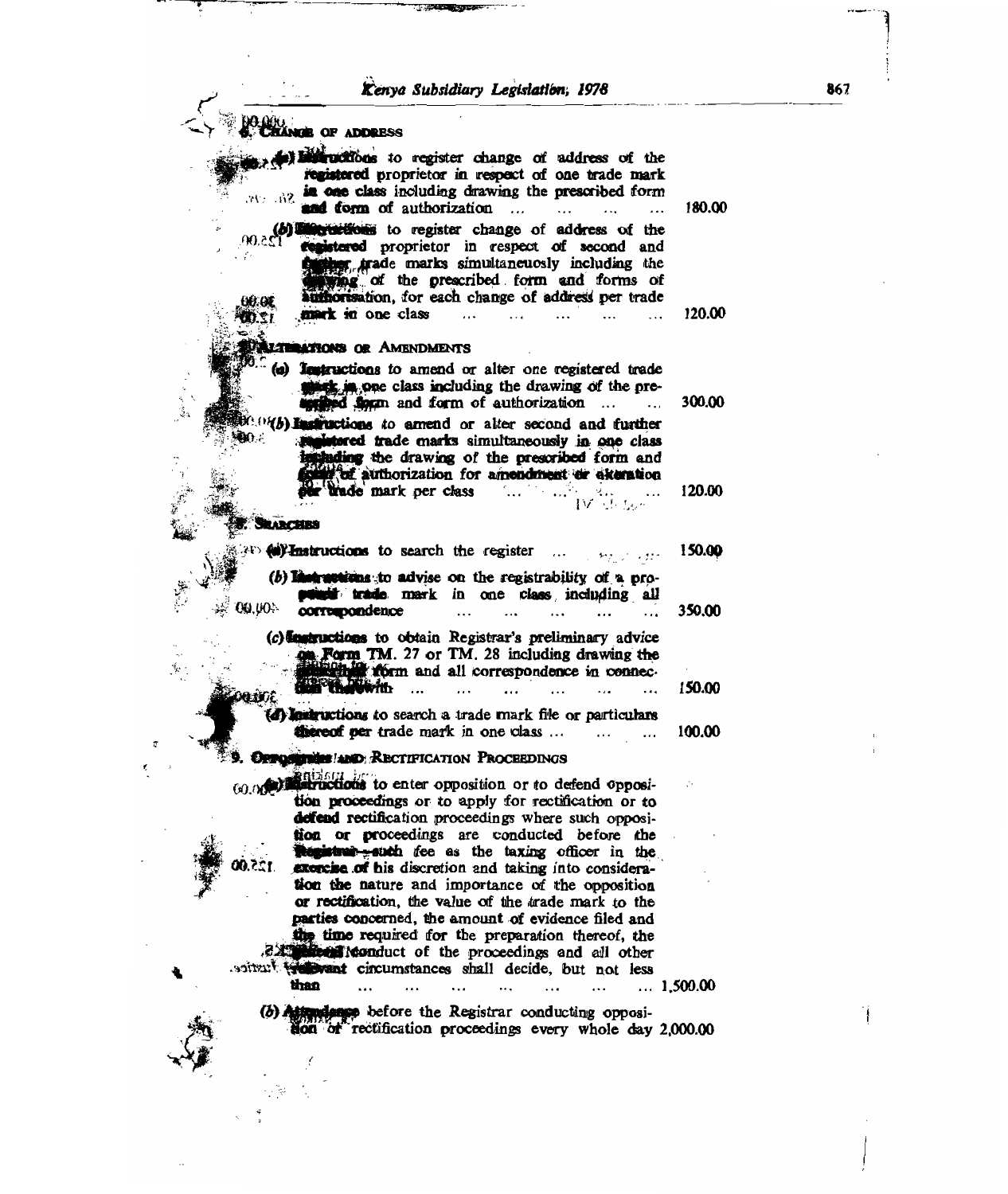*liartya Subsidiary Legislatibn; 1978* **867** 

AseIlar-

 $\mathbb{Z}_2$ 

ζ

| <b>NGE OF ADDRESS</b>                                                                                                                                                                                                                                                                                                                         |                  |
|-----------------------------------------------------------------------------------------------------------------------------------------------------------------------------------------------------------------------------------------------------------------------------------------------------------------------------------------------|------------------|
| b) in the series of the series of address of the<br>registered proprietor in respect of one trade mark<br>in one class including drawing the prescribed form<br>$Sh.$ :15.<br>and form of authorization                                                                                                                                       | 180.00           |
| (b) interestions to register change of address of the<br>registered proprietor in respect of second and<br>r trade marks simultaneuosly including the<br>ring of the prescribed form and forms of<br>authorisation, for each change of address per trade<br>60.GE                                                                             |                  |
| mark in one class<br>12.00<br><b>LATIONS OR AMENDMENTS</b><br>$\epsilon$ , and $\epsilon$<br>(a) Testructions to amend or alter one registered trade                                                                                                                                                                                          | 120.00           |
| starts in one class including the drawing of the pre-<br>applied figure and form of authorization<br>$\cdot$<br>$(v(b))$ instructions to amend or alter second and further<br>J -<br>and trade marks simultaneously in one class<br>studing the drawing of the prescribed form and                                                            | 300.00           |
| our of authorization for amendment er akeration<br>ber trade mark per class<br><b><i>SEARCHRS</i></b>                                                                                                                                                                                                                                         | 120.00           |
| <b>AD Millimetructions</b> to search the register<br>(b) limit settiens to advise on the registrability of a pro-<br>point trade mark in one class including all<br><b>00.00</b>                                                                                                                                                              | 150.00           |
| corremondence<br>(c) learnections to obtain Registrar's preliminary advice<br><b>OR Form TM.</b> 27 or TM. 28 including drawing the<br>the form and all correspondence in connec-<br><b>DREADWAY</b>                                                                                                                                          | 350.00<br>150.00 |
| (d) lastructions to search a trade mark file or particulars<br>thereof per trade mark in one class<br>.<br>OPPOSITION AND RECTIFICATION PROCEEDINGS                                                                                                                                                                                           | 100.00           |
| to enter opposition or to defend opposi-<br>tion proceedings or to apply for rectification or to<br>defend rectification proceedings where such opposi-<br>tion or proceedings are conducted before the<br>the interest watch fee as the taxing officer in the<br>exercise of his discretion and taking into considera-                       |                  |
| tion the nature and importance of the opposition<br>or rectification, the value of the trade mark to the<br>parties concerned, the amount of evidence filed and<br>the time required for the preparation thereof, the<br>2.2. Note Monduct of the proceedings and all other<br>soitzut treat circumstances shall decide, but not less<br>than | $\dots$ 1,500.00 |
| (b) Attendance before the Registrar conducting opposi-<br>don of rectification proceedings every whole day 2,000.00                                                                                                                                                                                                                           |                  |